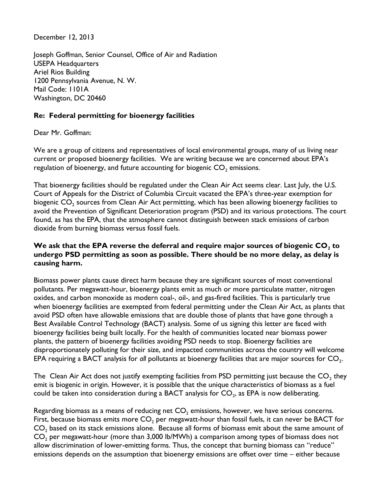December 12, 2013

Joseph Goffman, Senior Counsel, Office of Air and Radiation USEPA Headquarters Ariel Rios Building 1200 Pennsylvania Avenue, N. W. Mail Code: 1101A Washington, DC 20460

## **Re: Federal permitting for bioenergy facilities**

Dear Mr. Goffman:

We are a group of citizens and representatives of local environmental groups, many of us living near current or proposed bioenergy facilities. We are writing because we are concerned about EPA's regulation of bioenergy, and future accounting for biogenic  $CO<sub>2</sub>$  emissions.

That bioenergy facilities should be regulated under the Clean Air Act seems clear. Last July, the U.S. Court of Appeals for the District of Columbia Circuit vacated the EPA's three-year exemption for biogenic CO $_{\text{2}}$  sources from Clean Air Act permitting, which has been allowing bioenergy facilities to avoid the Prevention of Significant Deterioration program (PSD) and its various protections. The court found, as has the EPA, that the atmosphere cannot distinguish between stack emissions of carbon dioxide from burning biomass versus fossil fuels.

## **We ask that the EPA reverse the deferral and require major sources of biogenic CO<sup>2</sup> to undergo PSD permitting as soon as possible. There should be no more delay, as delay is causing harm.**

Biomass power plants cause direct harm because they are significant sources of most conventional pollutants. Per megawatt-hour, bioenergy plants emit as much or more particulate matter, nitrogen oxides, and carbon monoxide as modern coal-, oil-, and gas-fired facilities. This is particularly true when bioenergy facilities are exempted from federal permitting under the Clean Air Act, as plants that avoid PSD often have allowable emissions that are double those of plants that have gone through a Best Available Control Technology (BACT) analysis. Some of us signing this letter are faced with bioenergy facilities being built locally. For the health of communities located near biomass power plants, the pattern of bioenergy facilities avoiding PSD needs to stop. Bioenergy facilities are disproportionately polluting for their size, and impacted communities across the country will welcome EPA requiring a BACT analysis for *all* pollutants at bioenergy facilities that are major sources for  $\mathsf{CO}_{2}$ .

The  $\,$  Clean Air Act does not justify exempting facilities from PSD permitting just because the  $\mathsf{CO}_{2}$  they emit is biogenic in origin. However, it is possible that the unique characteristics of biomass as a fuel could be taken into consideration during a BACT analysis for CO<sub>2</sub>, as EPA is now deliberating.

Regarding biomass as a means of reducing net  $CO<sub>2</sub>$  emissions, however, we have serious concerns. First, because biomass emits more  $CO<sub>2</sub>$  per megawatt-hour than fossil fuels, it can never be BACT for  $CO<sub>2</sub>$  based on its stack emissions alone. Because all forms of biomass emit about the same amount of  $CO<sub>2</sub>$  per megawatt-hour (more than 3,000 lb/MWh) a comparison among types of biomass does not allow discrimination of lower-emitting forms. Thus, the concept that burning biomass can "reduce" emissions depends on the assumption that bioenergy emissions are offset over time – either because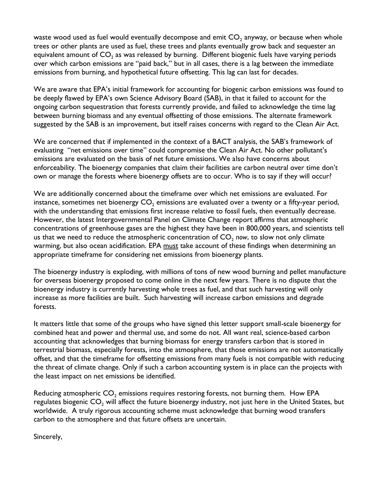waste wood used as fuel would eventually decompose and emit  $\mathsf{CO}_2$  anyway, or because when whole trees or other plants are used as fuel, these trees and plants eventually grow back and sequester an equivalent amount of  $\mathsf{CO}_2$  as was released by burning. Different biogenic fuels have varying periods over which carbon emissions are "paid back," but in all cases, there is a lag between the immediate emissions from burning, and hypothetical future offsetting. This lag can last for decades.

We are aware that EPA's initial framework for accounting for biogenic carbon emissions was found to be deeply flawed by EPA's own Science Advisory Board (SAB), in that it failed to account for the ongoing carbon sequestration that forests currently provide, and failed to acknowledge the time lag between burning biomass and any eventual offsetting of those emissions. The alternate framework suggested by the SAB is an improvement, but itself raises concerns with regard to the Clean Air Act.

We are concerned that if implemented in the context of a BACT analysis, the SAB's framework of evaluating "net emissions over time" could compromise the Clean Air Act. No other pollutant's emissions are evaluated on the basis of net future emissions. We also have concerns about enforceability. The bioenergy companies that claim their facilities are carbon neutral over time don't own or manage the forests where bioenergy offsets are to occur. Who is to say if they will occur?

We are additionally concerned about the timeframe over which net emissions are evaluated. For instance, sometimes net bioenergy  $CO<sub>2</sub>$  emissions are evaluated over a twenty or a fifty-year period, with the understanding that emissions first increase relative to fossil fuels, then eventually decrease. However, the latest Intergovernmental Panel on Climate Change report affirms that atmospheric concentrations of greenhouse gases are the highest they have been in 800,000 years, and scientists tell us that we need to reduce the atmospheric concentration of CO<sub>2</sub> now, to slow not only climate warming, but also ocean acidification. EPA must take account of these findings when determining an appropriate timeframe for considering net emissions from bioenergy plants.

The bioenergy industry is exploding, with millions of tons of new wood burning and pellet manufacture for overseas bioenergy proposed to come online in the next few years. There is no dispute that the bioenergy industry is currently harvesting whole trees as fuel, and that such harvesting will only increase as more facilities are built. Such harvesting will increase carbon emissions and degrade forests.

It matters little that some of the groups who have signed this letter support small-scale bioenergy for combined heat and power and thermal use, and some do not. All want real, science-based carbon accounting that acknowledges that burning biomass for energy transfers carbon that is stored in terrestrial biomass, especially forests, into the atmosphere, that those emissions are not automatically offset, and that the timeframe for offsetting emissions from many fuels is not compatible with reducing the threat of climate change. Only if such a carbon accounting system is in place can the projects with the least impact on net emissions be identified.

Reducing atmospheric  $CO<sub>2</sub>$  emissions requires restoring forests, not burning them. How EPA regulates biogenic  $CO<sub>2</sub>$  will affect the future bioenergy industry, not just here in the United States, but worldwide. A truly rigorous accounting scheme must acknowledge that burning wood transfers carbon to the atmosphere and that future offsets are uncertain.

Sincerely,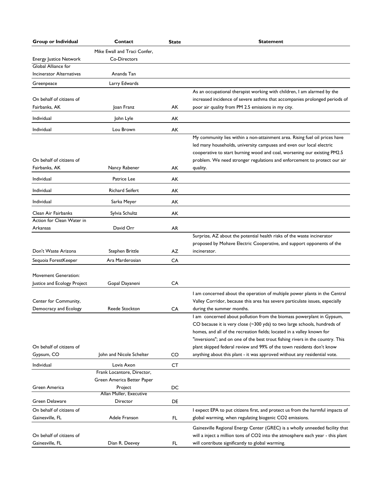| Group or Individual             | Contact                                  | <b>State</b> | <b>Statement</b>                                                                                                                                         |
|---------------------------------|------------------------------------------|--------------|----------------------------------------------------------------------------------------------------------------------------------------------------------|
|                                 | Mike Ewall and Traci Confer,             |              |                                                                                                                                                          |
| <b>Energy Justice Network</b>   | Co-Directors                             |              |                                                                                                                                                          |
| Global Alliance for             |                                          |              |                                                                                                                                                          |
| <b>Incinerator Alternatives</b> | Ananda Tan                               |              |                                                                                                                                                          |
| Greenpeace                      | Larry Edwards                            |              |                                                                                                                                                          |
|                                 |                                          |              | As an occupational therapist working with children, I am alarmed by the                                                                                  |
| On behalf of citizens of        |                                          |              | increased incidence of severe asthma that accompanies prolonged periods of                                                                               |
| Fairbanks, AK                   | Joan Franz                               | АK           | poor air quality from PM 2.5 emissions in my city.                                                                                                       |
| Individual                      | John Lyle                                | АK           |                                                                                                                                                          |
| Individual                      | Lou Brown                                | АK           |                                                                                                                                                          |
|                                 |                                          |              | My community lies within a non-attainment area. Rising fuel oil prices have                                                                              |
|                                 |                                          |              | led many households, university campuses and even our local electric                                                                                     |
| On behalf of citizens of        |                                          |              | cooperative to start burning wood and coal, worsening our existing PM2.5                                                                                 |
| Fairbanks, AK                   | Nancy Rabener                            | АK           | problem. We need stronger regulations and enforcement to protect our air<br>quality.                                                                     |
|                                 |                                          |              |                                                                                                                                                          |
| Individual                      | Patrice Lee                              | АK           |                                                                                                                                                          |
| Individual                      | <b>Richard Seifert</b>                   | АK           |                                                                                                                                                          |
| Individual                      | Sarka Meyer                              | АK           |                                                                                                                                                          |
| Clean Air Fairbanks             | Sylvia Schultz                           | AK           |                                                                                                                                                          |
| Action for Clean Water in       |                                          |              |                                                                                                                                                          |
| Arkansas                        | David Orr                                | AR           |                                                                                                                                                          |
|                                 |                                          |              | Surprize, AZ about the potential health risks of the waste incinerator                                                                                   |
|                                 |                                          |              | proposed by Mohave Electric Cooperative, and support opponents of the                                                                                    |
| Don't Waste Arizona             | Stephen Brittle                          | AZ           | incinerator.                                                                                                                                             |
| Sequoia ForestKeeper            | Ara Marderosian                          | CA           |                                                                                                                                                          |
|                                 |                                          |              |                                                                                                                                                          |
| <b>Movement Generation:</b>     |                                          |              |                                                                                                                                                          |
| Justice and Ecology Project     | Gopal Dayaneni                           | CA           |                                                                                                                                                          |
|                                 |                                          |              | I am concerned about the operation of multiple power plants in the Central                                                                               |
| Center for Community,           |                                          |              | Valley Corridor, because this area has severe particulate issues, especially                                                                             |
| Democracy and Ecology           | Reede Stockton                           | CA           | during the summer months.                                                                                                                                |
|                                 |                                          |              | I am concerned about pollution from the biomass powerplant in Gypsum,                                                                                    |
|                                 |                                          |              | CO because it is very close (~300 yds) to two large schools, hundreds of                                                                                 |
|                                 |                                          |              | homes, and all of the recreation fields; located in a valley known for<br>"inversions"; and on one of the best trout fishing rivers in the country. This |
| On behalf of citizens of        |                                          |              | plant skipped federal review and 99% of the town residents don't know                                                                                    |
| Gypsum, CO                      | John and Nicole Schelter                 | CO           | anything about this plant - it was approved without any residential vote.                                                                                |
|                                 |                                          |              |                                                                                                                                                          |
| Individual                      | Lovis Axon<br>Frank Locantore, Director, | <b>CT</b>    |                                                                                                                                                          |
|                                 | Green America Better Paper               |              |                                                                                                                                                          |
| Green America                   | Project                                  | DC           |                                                                                                                                                          |
|                                 | Allan Muller, Executive                  |              |                                                                                                                                                          |
| Green Delaware                  | Director                                 | DE           |                                                                                                                                                          |
| On behalf of citizens of        |                                          |              | I expect EPA to put citizens first, and protect us from the harmful impacts of                                                                           |
| Gainesville, FL                 | Adele Franson                            | FL.          | global warming, when regulating biogenic CO2 emissions.                                                                                                  |
|                                 |                                          |              | Gainesville Regional Energy Center (GREC) is a wholly unneeded facility that                                                                             |
| On behalf of citizens of        |                                          |              | will a inject a million tons of CO2 into the atmosphere each year - this plant                                                                           |
| Gainesville, FL                 | Dian R. Deevey                           | FL           | will contribute significantly to global warming.                                                                                                         |
|                                 |                                          |              |                                                                                                                                                          |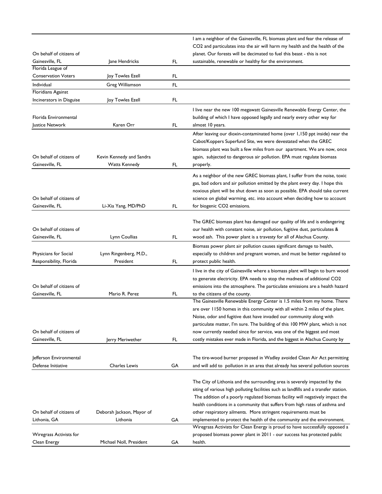|                                      |                           |     | I am a neighbor of the Gainesville, FL biomass plant and fear the release of          |
|--------------------------------------|---------------------------|-----|---------------------------------------------------------------------------------------|
|                                      |                           |     | CO2 and particulates into the air will harm my health and the health of the           |
| On behalf of citizens of             |                           |     | planet. Our forests will be decimated to fuel this beast - this is not                |
| Gainesville, FL<br>Florida League of | Jane Hendricks            | FL. | sustainable, renewable or healthy for the environment.                                |
| <b>Conservation Voters</b>           | Joy Towles Ezell          | FL. |                                                                                       |
| Individual                           | Greg Williamson           | FL. |                                                                                       |
| Floridians Against                   |                           |     |                                                                                       |
| Incinerators in Disguise             | Joy Towles Ezell          | FL. |                                                                                       |
|                                      |                           |     | I live near the new 100 megawatt Gainesville Renewable Energy Center, the             |
| Florida Environmental                |                           |     | building of which I have opposed legally and nearly every other way for               |
| Justice Network                      | Karen Orr                 | FL. | almost 10 years.                                                                      |
|                                      |                           |     | After leaving our dioxin-contaminated home (over 1,150 ppt inside) near the           |
|                                      |                           |     | Cabot/Koppers Superfund Site, we were devestated when the GREC                        |
|                                      |                           |     | biomass plant was built a few miles from our apartment. We are now, once              |
| On behalf of citizens of             | Kevin Kennedy and Sandra  |     | again, subjected to dangerous air pollution. EPA must regulate biomass                |
| Gainesville, FL                      | <b>Watts Kennedy</b>      | FL. | properly.                                                                             |
|                                      |                           |     |                                                                                       |
|                                      |                           |     | As a neighbor of the new GREC biomass plant, I suffer from the noise, toxic           |
|                                      |                           |     | gas, bad odors and air pollution emitted by the plant every day. I hope this          |
|                                      |                           |     | noxious plant will be shut down as soon as possible. EPA should take current          |
| On behalf of citizens of             |                           |     | science on global warming, etc. into account when deciding how to account             |
| Gainesville, FL                      | Li-Xia Yang, MD/PhD       | FL. | for biogenic CO2 emissions.                                                           |
|                                      |                           |     |                                                                                       |
|                                      |                           |     | The GREC biomass plant has damaged our quality of life and is endangering             |
| On behalf of citizens of             |                           |     | our health with constant noise, air pollution, fugitive dust, particulates &          |
| Gainesville, FL                      | Lynn Coullias             | FL. | wood ash. This power plant is a travesty for all of Alachua County.                   |
|                                      |                           |     | Biomass power plant air pollution causes significant damage to health,                |
| Physicians for Social                | Lynn Ringenberg, M.D.,    |     | especially to children and pregnant women, and must be better regulated to            |
| Responsibility, Florida              | President                 | FL. | protect public health.                                                                |
|                                      |                           |     | I live in the city of Gainesville where a biomass plant will begin to burn wood       |
|                                      |                           |     | to generate electricity. EPA needs to stop the madness of additional CO2              |
| On behalf of citizens of             |                           |     | emissions into the atmosphere. The particulate emissions are a health hazard          |
| Gainesville, FL                      | Mario R. Perez            | FL. | to the citizens of the county.                                                        |
|                                      |                           |     | The Gainesville Renewable Energy Center is 1.5 miles from my home. There              |
|                                      |                           |     | are over 1150 homes in this community with all within 2 miles of the plant.           |
|                                      |                           |     | Noise, odor and fugitive dust have invaded our community along with                   |
|                                      |                           |     | particulate matter, I'm sure. The building of this 100 MW plant, which is not         |
| On behalf of citizens of             |                           |     | now currently needed since for service, was one of the biggest and most               |
| Gainesville, FL                      | Jerry Meriwether          | FL. | costly mistakes ever made in Florida, and the biggest in Alachua County by            |
|                                      |                           |     |                                                                                       |
|                                      |                           |     |                                                                                       |
| Jefferson Environmental              |                           |     | The tire-wood burner proposed in Wadley avoided Clean Air Act permitting              |
| Defense Initiative                   | <b>Charles Lewis</b>      | GA  | and will add to pollution in an area that already has several pollution sources       |
|                                      |                           |     |                                                                                       |
|                                      |                           |     | The City of Lithonia and the surrounding area is severely impacted by the             |
|                                      |                           |     | siting of various high polluting facilities such as landfills and a transfer station. |
|                                      |                           |     | The addition of a poorly regulated biomass facility will negatively impact the        |
|                                      |                           |     | health conditions in a community that suffers from high rates of asthma and           |
| On behalf of citizens of             | Deborah Jackson, Mayor of |     | other respiratory ailments. More stringent requirements must be                       |
| Lithonia, GA                         | Lithonia                  | GA  | implemented to protect the health of the community and the environment.               |
|                                      |                           |     | Wiregrass Activists for Clean Energy is proud to have successfully opposed a          |
| Wiregrass Activists for              |                           |     | proposed biomass power plant in 2011 - our success has protected public               |
| Clean Energy                         | Michael Noll, President   | GA  | health.                                                                               |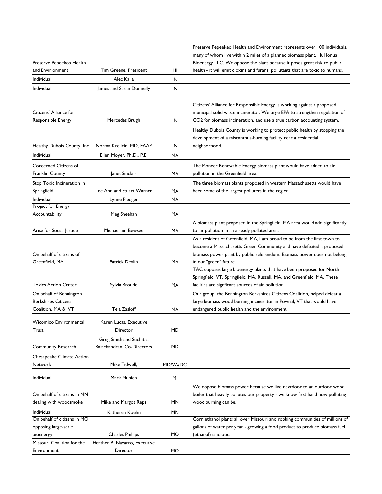| Preserve Pepeekeo Health<br>and Envirionment                                | Tim Greene, President                                 | HI       | Preserve Pepeekeo Health and Environment represents over 100 individuals,<br>many of whom live within 2 miles of a planned biomass plant, HuHonua<br>Bioenergy LLC. We oppose the plant because it poses great risk to public<br>health - it will emit dioxins and furans, pollutants that are toxic to humans. |
|-----------------------------------------------------------------------------|-------------------------------------------------------|----------|-----------------------------------------------------------------------------------------------------------------------------------------------------------------------------------------------------------------------------------------------------------------------------------------------------------------|
| Individual                                                                  | Alec Kalla                                            | IN       |                                                                                                                                                                                                                                                                                                                 |
| Individual                                                                  | James and Susan Donnelly                              | IN       |                                                                                                                                                                                                                                                                                                                 |
| Citizens' Alliance for                                                      |                                                       |          | Citizens' Alliance for Responsible Energy is working against a proposed<br>municipal solid waste incinerator. We urge EPA to strengthen regulation of                                                                                                                                                           |
| Responsible Energy                                                          | Mercedes Brugh                                        | IN       | CO2 for biomass incineration, and use a true carbon accounting system.                                                                                                                                                                                                                                          |
| Healthy Dubois County, Inc.                                                 | Norma Kreilein, MD, FAAP                              | IN       | Healthy Dubois County is working to protect public health by stopping the<br>development of a miscanthus-burning facility near a residential<br>neighborhood.                                                                                                                                                   |
| Individual                                                                  | Ellen Moyer, Ph.D., P.E.                              | МA       |                                                                                                                                                                                                                                                                                                                 |
| <b>Concerned Citizens of</b><br><b>Franklin County</b>                      | Janet Sinclair                                        | MA       | The Pioneer Renewable Energy biomass plant would have added to air<br>pollution in the Greenfield area.                                                                                                                                                                                                         |
| Stop Toxic Incineration in                                                  |                                                       |          | The three biomass plants proposed in western Massachusetts would have                                                                                                                                                                                                                                           |
| Springfield                                                                 | Lee Ann and Stuart Warner                             | МA       | been some of the largest polluters in the region.                                                                                                                                                                                                                                                               |
| Individual                                                                  | Lynne Pledger                                         | MA       |                                                                                                                                                                                                                                                                                                                 |
| Project for Energy<br>Accountability                                        | Meg Sheehan                                           | MA       |                                                                                                                                                                                                                                                                                                                 |
| Arise for Social Justice                                                    | Michaelann Bewsee                                     | MA       | A biomass plant proposed in the Springfield, MA area would add significantly<br>to air pollution in an already polluted area.                                                                                                                                                                                   |
| On behalf of citizens of<br>Greenfield, MA                                  | <b>Patrick Devlin</b>                                 | МA       | As a resident of Greenfield, MA, I am proud to be from the first town to<br>become a Massachusetts Green Community and have defeated a proposed<br>biomass power plant by public referendum. Biomass power does not belong<br>in our "green" future.                                                            |
| <b>Toxics Action Center</b>                                                 | Sylvia Broude                                         | MA       | TAC opposes large bioenergy plants that have been proposed for North<br>Springfield, VT, Springfield, MA, Russell, MA, and Greenfield, MA. These<br>faclities are signficant sources of air pollution.                                                                                                          |
| On behalf of Bennington<br><b>Berkshires Citizens</b><br>Coalition, MA & VT | Tela Zasloff                                          | МA       | Our group, the Bennington Berkshires Citizens Coalition, helped defeat a<br>large biomass wood burning incinerator in Pownal, VT that would have<br>endangered public health and the environment.                                                                                                               |
| Wicomico Environmental<br>Trust                                             | Karen Lucas, Executive<br>Director                    | MD       |                                                                                                                                                                                                                                                                                                                 |
| <b>Community Research</b>                                                   | Greg Smith and Suchitra<br>Balachandran, Co-Directors | MD       |                                                                                                                                                                                                                                                                                                                 |
| Chesapeake Climate Action<br>Network                                        | Mike Tidwell,                                         | MD/VA/DC |                                                                                                                                                                                                                                                                                                                 |
| Individual                                                                  | Mark Muhich                                           | MI       |                                                                                                                                                                                                                                                                                                                 |
| On behalf of citizens in MN<br>dealing with woodsmoke                       | Mike and Margot Reps                                  | ΜN       | We oppose biomass power because we live nextdoor to an outdoor wood<br>boiler that heavily pollutes our property - we know first hand how polluting<br>wood burning can be.                                                                                                                                     |
| Individual                                                                  | Katheren Koehn                                        | ΜN       |                                                                                                                                                                                                                                                                                                                 |
| On behalf of citizens in MO<br>opposing large-scale<br>bioenergy            | <b>Charles Phillips</b>                               | МO       | Corn ethanol plants all over Missouri and robbing communities of millions of<br>gallons of water per year - growing a food product to produce biomass fuel<br>(ethanol) is idiotic.                                                                                                                             |
| Missouri Coalition for the<br>Environment                                   | Heather B. Navarro, Executive<br>Director             | МO       |                                                                                                                                                                                                                                                                                                                 |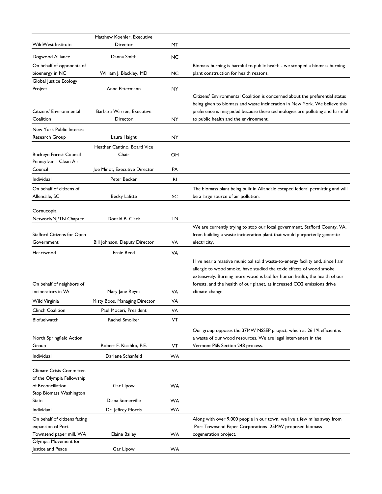|                                              | Matthew Koehler, Executive    |           |                                                                                |
|----------------------------------------------|-------------------------------|-----------|--------------------------------------------------------------------------------|
| WildWest Institute                           | Director                      | МT        |                                                                                |
| Dogwood Alliance                             | Danna Smith                   | NC        |                                                                                |
| On behalf of opponents of                    |                               |           | Biomass burning is harmful to public health - we stopped a biomass burning     |
| bioenergy in NC                              | William J. Blackley, MD       | <b>NC</b> | plant construction for health reasons.                                         |
| Global Justice Ecology                       |                               |           |                                                                                |
| Project                                      | Anne Petermann                | NY        |                                                                                |
|                                              |                               |           | Citizens' Environmental Coalition is concerned about the preferential status   |
|                                              |                               |           | being given to biomass and waste incineration in New York. We believe this     |
| Citizens' Environmental                      | Barbara Warren, Executive     |           | preference is misguided because these technologies are polluting and harmful   |
| Coalition                                    | Director                      | NY        | to public health and the environment.                                          |
| New York Public Interest                     |                               |           |                                                                                |
| Research Group                               | Laura Haight                  | NY        |                                                                                |
|                                              | Heather Cantino, Board Vice   |           |                                                                                |
| <b>Buckeye Forest Council</b>                | Chair                         | OН        |                                                                                |
| Pennsylvania Clean Air                       |                               |           |                                                                                |
| Council                                      | Joe Minot, Executive Director | PA        |                                                                                |
| Individual                                   | Peter Becker                  | <b>RI</b> |                                                                                |
|                                              |                               |           |                                                                                |
| On behalf of citizens of                     |                               |           | The biomass plant being built in Allandale escaped federal permitting and will |
| Allendale, SC                                | Becky Lafitte                 | SC        | be a large source of air pollution.                                            |
| Cornucopia                                   |                               |           |                                                                                |
| Network/NJ/TN Chapter                        | Donald B. Clark               | TN        |                                                                                |
|                                              |                               |           | We are currently trying to stop our local government, Stafford County, VA,     |
| Stafford Citizens for Open                   |                               |           | from building a waste incineration plant that would purportedly generate       |
| Government                                   | Bill Johnson, Deputy Director | VA        | electricity.                                                                   |
| Heartwood                                    | <b>Ernie Reed</b>             | VA        |                                                                                |
|                                              |                               |           | I live near a massive municipal solid waste-to-energy facility and, since I am |
|                                              |                               |           | allergic to wood smoke, have studied the toxic effects of wood smoke           |
|                                              |                               |           | extensively. Burning more wood is bad for human health, the health of our      |
| On behalf of neighbors of                    |                               |           | forests, and the health of our planet, as increased CO2 emissions drive        |
| incinerators in VA                           | Mary Jane Reyes               | VA        | climate change.                                                                |
| Wild Virginia                                | Misty Boos, Managing Director | VA        |                                                                                |
|                                              |                               |           |                                                                                |
| Clinch Coalition                             | Paul Moceri, President        | VA        |                                                                                |
| Biofuelwatch                                 | Rachel Smolker                | VT        |                                                                                |
|                                              |                               |           | Our group opposes the 37MW NSSEP project, which at 26.1% efficient is          |
| North Springfield Action                     |                               |           | a waste of our wood resources. We are legal interveners in the                 |
| Group                                        | Robert F. Kischko, P.E.       | VT        | Vermont PSB Section 248 process.                                               |
| Individual                                   | Darlene Schanfeld             | <b>WA</b> |                                                                                |
|                                              |                               |           |                                                                                |
| <b>Climate Crisis Committee</b>              |                               |           |                                                                                |
| of the Olympia Fellowship                    |                               |           |                                                                                |
| of Reconciliation<br>Stop Biomass Washington | Gar Lipow                     | WA        |                                                                                |
| State                                        | Diana Somerville              | WA        |                                                                                |
|                                              |                               |           |                                                                                |
| Individual                                   | Dr. Jeffrey Morris            | <b>WA</b> |                                                                                |
| On behalf of citizens facing                 |                               |           | Along with over 9,000 people in our town, we live a few miles away from        |
| expansion of Port                            |                               |           | Port Townsend Paper Corporations 25MW proposed biomass                         |
| Townsend paper mill, WA                      | <b>Elaine Bailey</b>          | WA        | cogeneration project.                                                          |
| Olympia Movement for                         |                               |           |                                                                                |
| Justice and Peace                            | Gar Lipow                     | WA        |                                                                                |